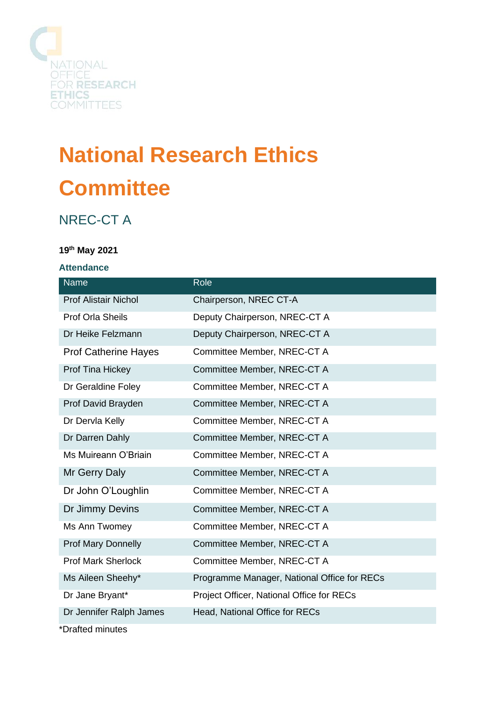

# **National Research Ethics Committee**

# NREC-CT A

## **19th May 2021**

#### **Attendance**

| <b>Name</b>                 | Role                                        |
|-----------------------------|---------------------------------------------|
| <b>Prof Alistair Nichol</b> | Chairperson, NREC CT-A                      |
| <b>Prof Orla Sheils</b>     | Deputy Chairperson, NREC-CT A               |
| Dr Heike Felzmann           | Deputy Chairperson, NREC-CT A               |
| <b>Prof Catherine Hayes</b> | Committee Member, NREC-CT A                 |
| Prof Tina Hickey            | Committee Member, NREC-CT A                 |
| Dr Geraldine Foley          | Committee Member, NREC-CT A                 |
| Prof David Brayden          | Committee Member, NREC-CT A                 |
| Dr Dervla Kelly             | Committee Member, NREC-CT A                 |
| Dr Darren Dahly             | Committee Member, NREC-CT A                 |
| Ms Muireann O'Briain        | Committee Member, NREC-CT A                 |
| Mr Gerry Daly               | Committee Member, NREC-CT A                 |
| Dr John O'Loughlin          | Committee Member, NREC-CT A                 |
| Dr Jimmy Devins             | Committee Member, NREC-CT A                 |
| Ms Ann Twomey               | Committee Member, NREC-CT A                 |
| <b>Prof Mary Donnelly</b>   | Committee Member, NREC-CT A                 |
| <b>Prof Mark Sherlock</b>   | Committee Member, NREC-CT A                 |
| Ms Aileen Sheehy*           | Programme Manager, National Office for RECs |
| Dr Jane Bryant*             | Project Officer, National Office for RECs   |
| Dr Jennifer Ralph James     | Head, National Office for RECs              |
| *Drafted minutes            |                                             |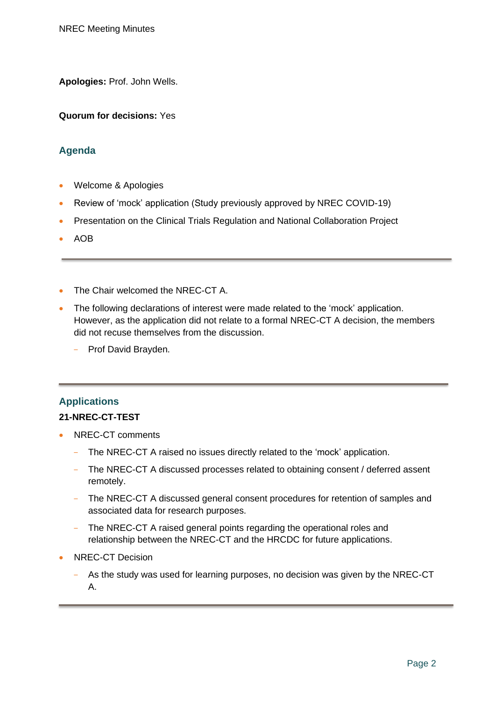**Apologies:** Prof. John Wells.

**Quorum for decisions:** Yes

## **Agenda**

- Welcome & Apologies
- Review of 'mock' application (Study previously approved by NREC COVID-19)
- Presentation on the Clinical Trials Regulation and National Collaboration Project
- AOB
- The Chair welcomed the NREC-CT A.
- The following declarations of interest were made related to the 'mock' application. However, as the application did not relate to a formal NREC-CT A decision, the members did not recuse themselves from the discussion.
	- Prof David Brayden.

# **Applications**

#### **21-NREC-CT-TEST**

- NREC-CT comments
	- The NREC-CT A raised no issues directly related to the 'mock' application.
	- The NREC-CT A discussed processes related to obtaining consent / deferred assent remotely.
	- The NREC-CT A discussed general consent procedures for retention of samples and associated data for research purposes.
	- The NREC-CT A raised general points regarding the operational roles and relationship between the NREC-CT and the HRCDC for future applications.
- NREC-CT Decision
	- As the study was used for learning purposes, no decision was given by the NREC-CT A.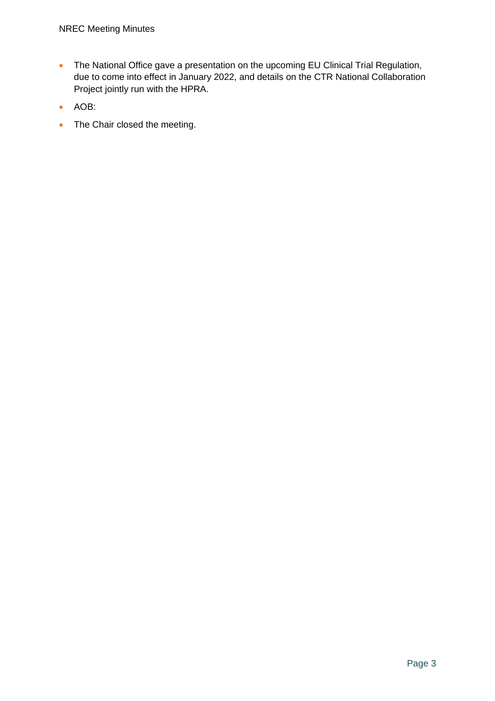- The National Office gave a presentation on the upcoming EU Clinical Trial Regulation, due to come into effect in January 2022, and details on the CTR National Collaboration Project jointly run with the HPRA.
- AOB:
- The Chair closed the meeting.